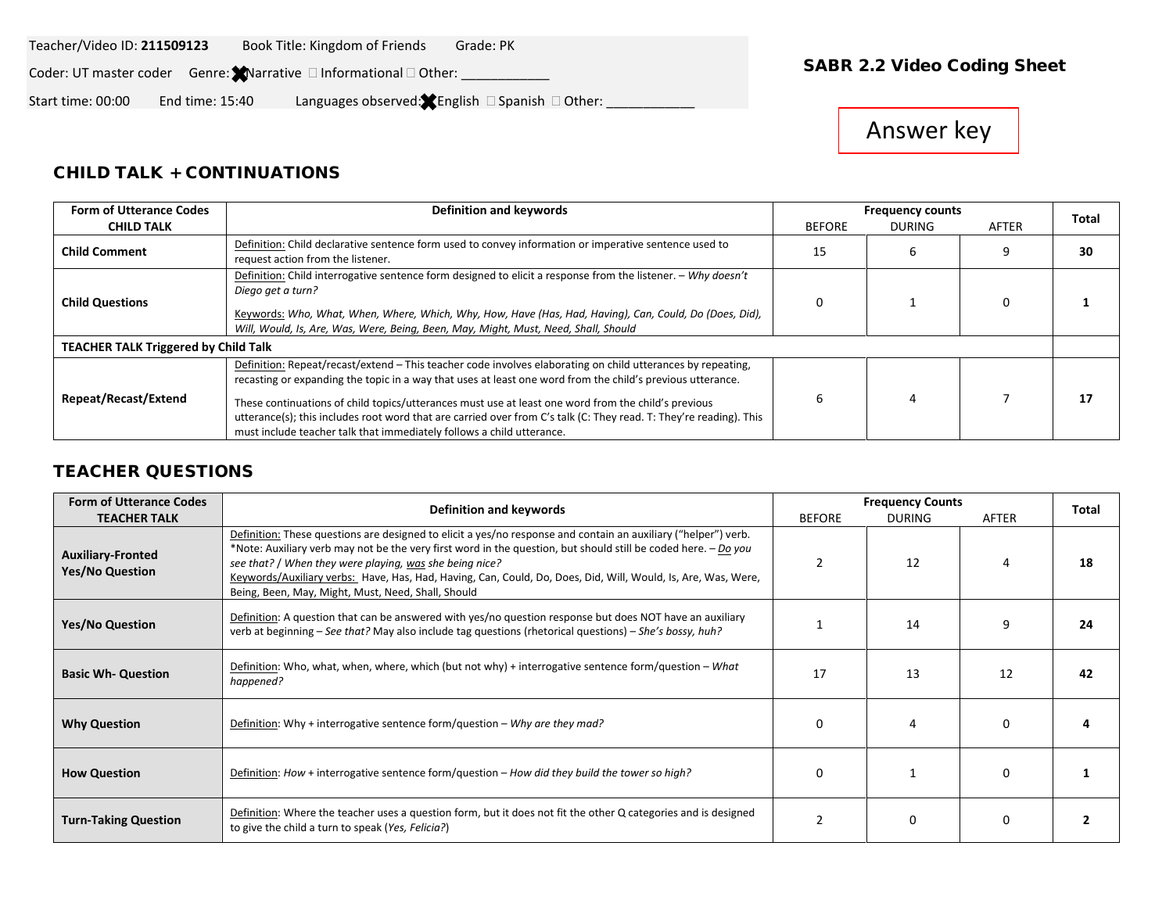#### Teacher/Video ID: **211509123** Book Title: Kingdom of Friends Grade: PK

Coder: UT master coder Genre: Narrative and formational and Other: **National Coding Sheet Coding Sheet** 

Start time: 00:00 End time: 15:40 Languages observed: English Spanish Other: \_\_\_\_\_\_\_\_\_\_\_\_

# Answer key

### CHILD TALK + CONTINUATIONS

| <b>Form of Utterance Codes</b>              | Definition and keywords                                                                                                                                                                                                                                                                                                                                                                                                                                                                                                         |               | <b>Frequency counts</b> |       |    |  |
|---------------------------------------------|---------------------------------------------------------------------------------------------------------------------------------------------------------------------------------------------------------------------------------------------------------------------------------------------------------------------------------------------------------------------------------------------------------------------------------------------------------------------------------------------------------------------------------|---------------|-------------------------|-------|----|--|
| <b>CHILD TALK</b>                           | <b>BEFORE</b>                                                                                                                                                                                                                                                                                                                                                                                                                                                                                                                   | <b>DURING</b> | AFTER                   | Total |    |  |
| <b>Child Comment</b>                        | Definition: Child declarative sentence form used to convey information or imperative sentence used to<br>request action from the listener.                                                                                                                                                                                                                                                                                                                                                                                      | 15            | n                       |       | 30 |  |
| <b>Child Questions</b>                      | Definition: Child interrogative sentence form designed to elicit a response from the listener. - Why doesn't<br>Diego get a turn?<br>Keywords: Who, What, When, Where, Which, Why, How, Have (Has, Had, Having), Can, Could, Do (Does, Did),<br>Will, Would, Is, Are, Was, Were, Being, Been, May, Might, Must, Need, Shall, Should                                                                                                                                                                                             | 0             |                         |       |    |  |
| <b>TEACHER TALK Triggered by Child Talk</b> |                                                                                                                                                                                                                                                                                                                                                                                                                                                                                                                                 |               |                         |       |    |  |
| Repeat/Recast/Extend                        | Definition: Repeat/recast/extend - This teacher code involves elaborating on child utterances by repeating,<br>recasting or expanding the topic in a way that uses at least one word from the child's previous utterance.<br>These continuations of child topics/utterances must use at least one word from the child's previous<br>utterance(s); this includes root word that are carried over from C's talk (C: They read. T: They're reading). This<br>must include teacher talk that immediately follows a child utterance. |               |                         |       | 17 |  |

### TEACHER QUESTIONS

| <b>Form of Utterance Codes</b>                     | Definition and keywords                                                                                                                                                                                                                                                                                                                                                                                                                                            |                | <b>Frequency Counts</b> |          |       |  |
|----------------------------------------------------|--------------------------------------------------------------------------------------------------------------------------------------------------------------------------------------------------------------------------------------------------------------------------------------------------------------------------------------------------------------------------------------------------------------------------------------------------------------------|----------------|-------------------------|----------|-------|--|
| <b>TEACHER TALK</b>                                |                                                                                                                                                                                                                                                                                                                                                                                                                                                                    | <b>BEFORE</b>  | <b>DURING</b>           | AFTER    | Total |  |
| <b>Auxiliary-Fronted</b><br><b>Yes/No Question</b> | Definition: These questions are designed to elicit a yes/no response and contain an auxiliary ("helper") verb.<br>*Note: Auxiliary verb may not be the very first word in the question, but should still be coded here. - Do you<br>see that? / When they were playing, was she being nice?<br>Keywords/Auxiliary verbs: Have, Has, Had, Having, Can, Could, Do, Does, Did, Will, Would, Is, Are, Was, Were,<br>Being, Been, May, Might, Must, Need, Shall, Should |                | 12                      | 4        | 18    |  |
| <b>Yes/No Question</b>                             | Definition: A question that can be answered with yes/no question response but does NOT have an auxiliary<br>verb at beginning - See that? May also include tag questions (rhetorical questions) - She's bossy, huh?                                                                                                                                                                                                                                                |                | 14                      | 9        | 24    |  |
| <b>Basic Wh- Question</b>                          | Definition: Who, what, when, where, which (but not why) + interrogative sentence form/question – What<br>happened?                                                                                                                                                                                                                                                                                                                                                 | 17             | 13                      | 12       | 42    |  |
| <b>Why Question</b>                                | Definition: Why + interrogative sentence form/question – Why are they mad?                                                                                                                                                                                                                                                                                                                                                                                         | 0              | 4                       | 0        |       |  |
| <b>How Question</b>                                | Definition: How + interrogative sentence form/question – How did they build the tower so high?                                                                                                                                                                                                                                                                                                                                                                     | 0              |                         | $\Omega$ |       |  |
| <b>Turn-Taking Question</b>                        | Definition: Where the teacher uses a question form, but it does not fit the other Q categories and is designed<br>to give the child a turn to speak (Yes, Felicia?)                                                                                                                                                                                                                                                                                                | $\mathfrak{p}$ | 0                       | $\Omega$ |       |  |